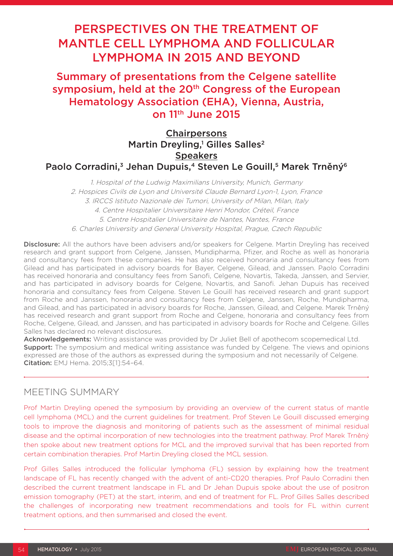# PERSPECTIVES ON THE TREATMENT OF MANTLE CELL LYMPHOMA AND FOLLICULAR LYMPHOMA IN 2015 AND BEYOND

Summary of presentations from the Celgene satellite symposium, held at the 20<sup>th</sup> Congress of the European Hematology Association (EHA), Vienna, Austria, on 11th June 2015

# **Chairpersons** Martin Dreyling,<sup>1</sup> Gilles Salles<sup>2</sup> **Speakers** Paolo Corradini,<sup>3</sup> Jehan Dupuis,<sup>4</sup> Steven Le Gouill,<sup>5</sup> Marek Trněný<sup>6</sup>

1. Hospital of the Ludwig Maximilians University, Munich, Germany 2. Hospices Civils de Lyon and Université Claude Bernard Lyon-1, Lyon, France 3. IRCCS Istituto Nazionale dei Tumori, University of Milan, Milan, Italy 4. Centre Hospitalier Universitaire Henri Mondor, Créteil, France 5. Centre Hospitalier Universitaire de Nantes, Nantes, France 6. Charles University and General University Hospital, Prague, Czech Republic

**Disclosure:** All the authors have been advisers and/or speakers for Celgene. Martin Dreyling has received research and grant support from Celgene, Janssen, Mundipharma, Pfizer, and Roche as well as honoraria and consultancy fees from these companies. He has also received honoraria and consultancy fees from Gilead and has participated in advisory boards for Bayer, Celgene, Gilead, and Janssen. Paolo Corradini has received honoraria and consultancy fees from Sanofi, Celgene, Novartis, Takeda, Janssen, and Servier, and has participated in advisory boards for Celgene, Novartis, and Sanofi. Jehan Dupuis has received honoraria and consultancy fees from Celgene. Steven Le Gouill has received research and grant support from Roche and Janssen, honoraria and consultancy fees from Celgene, Janssen, Roche, Mundipharma, and Gilead, and has participated in advisory boards for Roche, Janssen, Gilead, and Celgene. Marek Trněný has received research and grant support from Roche and Celgene, honoraria and consultancy fees from Roche, Celgene, Gilead, and Janssen, and has participated in advisory boards for Roche and Celgene. Gilles Salles has declared no relevant disclosures.

Acknowledgements: Writing assistance was provided by Dr Juliet Bell of apothecom scopemedical Ltd. **Support:** The symposium and medical writing assistance was funded by Celgene. The views and opinions expressed are those of the authors as expressed during the symposium and not necessarily of Celgene. Citation: EMJ Hema. 2015;3[1]:54–64.

# MEETING SUMMARY

Prof Martin Dreyling opened the symposium by providing an overview of the current status of mantle cell lymphoma (MCL) and the current guidelines for treatment. Prof Steven Le Gouill discussed emerging tools to improve the diagnosis and monitoring of patients such as the assessment of minimal residual disease and the optimal incorporation of new technologies into the treatment pathway. Prof Marek Trněný then spoke about new treatment options for MCL and the improved survival that has been reported from certain combination therapies. Prof Martin Dreyling closed the MCL session.

Prof Gilles Salles introduced the follicular lymphoma (FL) session by explaining how the treatment landscape of FL has recently changed with the advent of anti-CD20 therapies. Prof Paulo Corradini then described the current treatment landscape in FL and Dr Jehan Dupuis spoke about the use of positron emission tomography (PET) at the start, interim, and end of treatment for FL. Prof Gilles Salles described the challenges of incorporating new treatment recommendations and tools for FL within current treatment options, and then summarised and closed the event.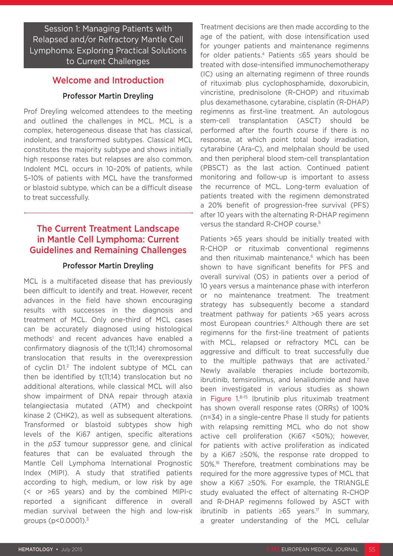Session 1: Managing Patients with Relapsed and/or Refractory Mantle Cell Lymphoma: Exploring Practical Solutions to Current Challenges

### Welcome and Introduction

### Professor Martin Dreyling

Prof Dreyling welcomed attendees to the meeting and outlined the challenges in MCL. MCL is a complex, heterogeneous disease that has classical, indolent, and transformed subtypes. Classical MCL constitutes the majority subtype and shows initially high response rates but relapses are also common. Indolent MCL occurs in 10–20% of patients, while 5–10% of patients with MCL have the transformed or blastoid subtype, which can be a difficult disease to treat successfully.

### The Current Treatment Landscape in Mantle Cell Lymphoma: Current Guidelines and Remaining Challenges

#### Professor Martin Dreyling

MCL is a multifaceted disease that has previously been difficult to identify and treat. However, recent advances in the field have shown encouraging results with successes in the diagnosis and treatment of MCL. Only one-third of MCL cases can be accurately diagnosed using histological methods<sup>1</sup> and recent advances have enabled a confirmatory diagnosis of the t(11;14) chromosomal translocation that results in the overexpression of cyclin D1.2 The indolent subtype of MCL can then be identified by t(11;14) translocation but no additional alterations, while classical MCL will also show impairment of DNA repair through ataxia telangiectasia mutated (ATM) and checkpoint kinase 2 (CHK2), as well as subsequent alterations. Transformed or blastoid subtypes show high levels of the Ki67 antigen, specific alterations in the *p53* tumour suppressor gene, and clinical features that can be evaluated through the Mantle Cell Lymphoma International Prognostic Index (MIPI). A study that stratified patients according to high, medium, or low risk by age (< or >65 years) and by the combined MIPI-c reported a significant difference in overall median survival between the high and low-risk groups ( $p$ <0.0001). $\frac{3}{5}$ 

Treatment decisions are then made according to the age of the patient, with dose intensification used for younger patients and maintenance regimenns for older patients.4 Patients ≤65 years should be treated with dose-intensified immunochemotherapy (IC) using an alternating regimenn of three rounds of rituximab plus cyclophosphamide, doxorubicin, vincristine, prednisolone (R-CHOP) and rituximab plus dexamethasone, cytarabine, cisplatin (R-DHAP) regimenns as first-line treatment. An autologous stem-cell transplantation (ASCT) should be performed after the fourth course if there is no response, at which point total body irradiation, cytarabine (Ara-C), and melphalan should be used and then peripheral blood stem-cell transplantation (PBSCT) as the last action. Continued patient monitoring and follow-up is important to assess the recurrence of MCL. Long-term evaluation of patients treated with the regimenn demonstrated a 20% benefit of progression-free survival (PFS) after 10 years with the alternating R-DHAP regimenn versus the standard R-CHOP course.5

Patients >65 years should be initially treated with R-CHOP or rituximab conventional regimenns and then rituximab maintenance.<sup>6</sup> which has been shown to have significant benefits for PFS and overall survival (OS) in patients over a period of 10 years versus a maintenance phase with interferon or no maintenance treatment. The treatment strategy has subsequently become a standard treatment pathway for patients >65 years across most European countries.<sup>6</sup> Although there are set regimenns for the first-line treatment of patients with MCL, relapsed or refractory MCL can be aggressive and difficult to treat successfully due to the multiple pathways that are activated.<sup>7</sup> Newly available therapies include bortezomib, ibrutinib, temsirolimus, and lenalidomide and have been investigated in various studies as shown in Figure 1. 8–15 Ibrutinib plus rituximab treatment has shown overall response rates (ORRs) of 100% (n=34) in a single-centre Phase II study for patients with relapsing remitting MCL who do not show active cell proliferation (Ki67 <50%); however, for patients with active proliferation as indicated by a Ki67 ≥50%, the response rate dropped to 50%.16 Therefore, treatment combinations may be required for the more aggressive types of MCL that show a Ki67 ≥50%. For example, the TRIANGLE study evaluated the effect of alternating R-CHOP and R-DHAP regimenns followed by ASCT with ibrutinib in patients ≥65 years.17 In summary, a greater understanding of the MCL cellular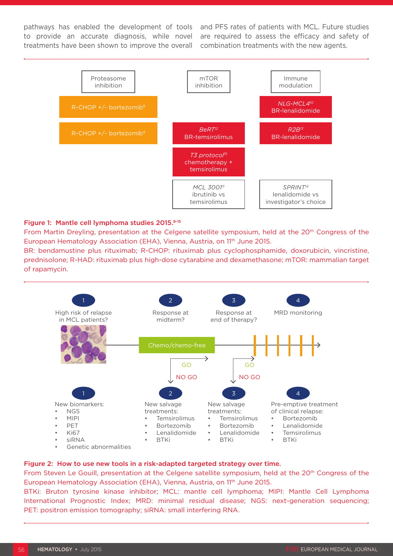to provide an accurate diagnosis, while novel treatments have been shown to improve the overall

pathways has enabled the development of tools and PFS rates of patients with MCL. Future studies are required to assess the efficacy and safety of combination treatments with the new agents.



#### Figure 1: Mantle cell lymphoma studies 2015.8-15

From Martin Dreyling, presentation at the Celgene satellite symposium, held at the 20th Congress of the European Hematology Association (EHA), Vienna, Austria, on 11<sup>th</sup> June 2015.

BR: bendamustine plus rituximab; R-CHOP: rituximab plus cyclophosphamide, doxorubicin, vincristine, prednisolone; R-HAD: rituximab plus high-dose cytarabine and dexamethasone; mTOR: mammalian target of rapamycin.



#### Figure 2: How to use new tools in a risk-adapted targeted strategy over time.

From Steven Le Gouill, presentation at the Celgene satellite symposium, held at the 20th Congress of the European Hematology Association (EHA), Vienna, Austria, on 11<sup>th</sup> June 2015.

BTKi: Bruton tyrosine kinase inhibitor; MCL: mantle cell lymphoma; MIPI: Mantle Cell Lymphoma International Prognostic Index; MRD: minimal residual disease; NGS: next-generation sequencing; PET: positron emission tomography; siRNA: small interfering RNA.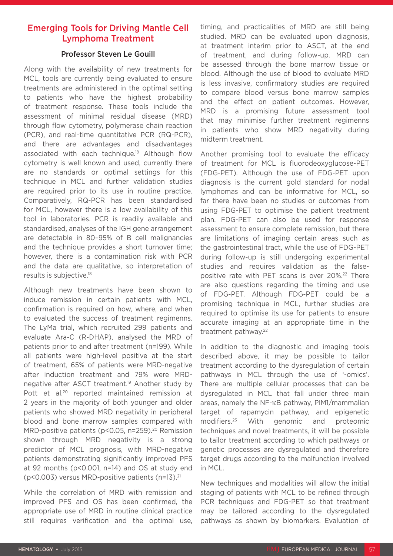# Emerging Tools for Driving Mantle Cell Lymphoma Treatment

### Professor Steven Le Gouill

Along with the availability of new treatments for MCL, tools are currently being evaluated to ensure treatments are administered in the optimal setting to patients who have the highest probability of treatment response. These tools include the assessment of minimal residual disease (MRD) through flow cytometry, polymerase chain reaction (PCR), and real-time quantitative PCR (RQ-PCR), and there are advantages and disadvantages associated with each technique.18 Although flow cytometry is well known and used, currently there are no standards or optimal settings for this technique in MCL and further validation studies are required prior to its use in routine practice. Comparatively, RQ-PCR has been standardised for MCL, however there is a low availability of this tool in laboratories. PCR is readily available and standardised, analyses of the IGH gene arrangement are detectable in 80–95% of B cell malignancies and the technique provides a short turnover time; however, there is a contamination risk with PCR and the data are qualitative, so interpretation of results is subjective.18

Although new treatments have been shown to induce remission in certain patients with MCL, confirmation is required on how, where, and when to evaluated the success of treatment regimenns. The LyMa trial, which recruited 299 patients and evaluate Ara-C (R-DHAP), analysed the MRD of patients prior to and after treatment (n=199). While all patients were high-level positive at the start of treatment, 65% of patients were MRD-negative after induction treatment and 79% were MRDnegative after ASCT treatment.19 Another study by Pott et al.<sup>20</sup> reported maintained remission at 2 years in the majority of both younger and older patients who showed MRD negativity in peripheral blood and bone marrow samples compared with MRD-positive patients (p<0.05, n=259).<sup>20</sup> Remission shown through MRD negativity is a strong predictor of MCL prognosis, with MRD-negative patients demonstrating significantly improved PFS at 92 months (p<0.001, n=14) and OS at study end (p<0.003) versus MRD-positive patients (n=13).21

While the correlation of MRD with remission and improved PFS and OS has been confirmed, the appropriate use of MRD in routine clinical practice still requires verification and the optimal use, timing, and practicalities of MRD are still being studied. MRD can be evaluated upon diagnosis, at treatment interim prior to ASCT, at the end of treatment, and during follow-up. MRD can be assessed through the bone marrow tissue or blood. Although the use of blood to evaluate MRD is less invasive, confirmatory studies are required to compare blood versus bone marrow samples and the effect on patient outcomes. However, MRD is a promising future assessment tool that may minimise further treatment regimenns in patients who show MRD negativity during midterm treatment.

Another promising tool to evaluate the efficacy of treatment for MCL is fluorodeoxyglucose-PET (FDG-PET). Although the use of FDG-PET upon diagnosis is the current gold standard for nodal lymphomas and can be informative for MCL, so far there have been no studies or outcomes from using FDG-PET to optimise the patient treatment plan. FDG-PET can also be used for response assessment to ensure complete remission, but there are limitations of imaging certain areas such as the gastrointestinal tract, while the use of FDG-PET during follow-up is still undergoing experimental studies and requires validation as the falsepositive rate with PET scans is over 20%.<sup>22</sup> There are also questions regarding the timing and use of FDG-PET. Although FDG-PET could be a promising technique in MCL, further studies are required to optimise its use for patients to ensure accurate imaging at an appropriate time in the treatment pathway.<sup>22</sup>

In addition to the diagnostic and imaging tools described above, it may be possible to tailor treatment according to the dysregulation of certain pathways in MCL through the use of '-omics'. There are multiple cellular processes that can be dysregulated in MCL that fall under three main areas, namely the NF-κB pathway, PIM1/mammalian target of rapamycin pathway, and epigenetic modifiers.23 With genomic and proteomic techniques and novel treatments, it will be possible to tailor treatment according to which pathways or genetic processes are dysregulated and therefore target drugs according to the malfunction involved in MCL.

New techniques and modalities will allow the initial staging of patients with MCL to be refined through PCR techniques and FDG-PET so that treatment may be tailored according to the dysregulated pathways as shown by biomarkers. Evaluation of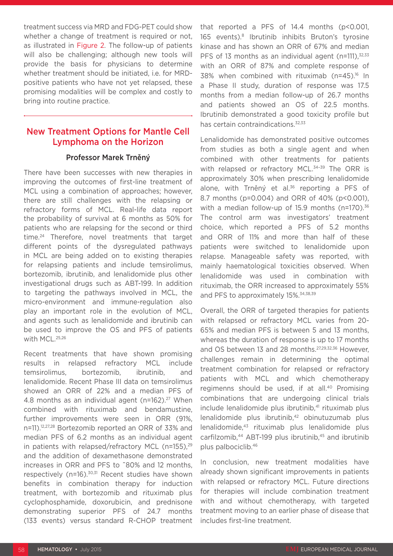treatment success via MRD and FDG-PET could show whether a change of treatment is required or not. as illustrated in Figure 2. The follow-up of patients will also be challenging; although new tools will provide the basis for physicians to determine whether treatment should be initiated, i.e. for MRDpositive patients who have not yet relapsed, these promising modalities will be complex and costly to bring into routine practice.

## New Treatment Options for Mantle Cell Lymphoma on the Horizon

#### Professor Marek Trněný

There have been successes with new therapies in improving the outcomes of first-line treatment of MCL using a combination of approaches; however, there are still challenges with the relapsing or refractory forms of MCL. Real-life data report the probability of survival at 6 months as 50% for patients who are relapsing for the second or third time.24 Therefore, novel treatments that target different points of the dysregulated pathways in MCL are being added on to existing therapies for relapsing patients and include temsirolimus, bortezomib, ibrutinib, and lenalidomide plus other investigational drugs such as ABT-199. In addition to targeting the pathways involved in MCL, the micro-environment and immune-regulation also play an important role in the evolution of MCL, and agents such as lenalidomide and ibrutinib can be used to improve the OS and PFS of patients with MCL.25,26

Recent treatments that have shown promising results in relapsed refractory MCL include temsirolimus, bortezomib, ibrutinib, and lenalidomide. Recent Phase III data on temsirolimus showed an ORR of 22% and a median PFS of 4.8 months as an individual agent ( $n=162$ ).<sup>27</sup> When combined with rituximab and bendamustine, further improvements were seen in ORR (91%, n=11).12,27,28 Bortezomib reported an ORR of 33% and median PFS of 6.2 months as an individual agent in patients with relapsed/refractory MCL (n=155), $29$ and the addition of dexamethasone demonstrated increases in ORR and PFS to ˜80% and 12 months, respectively (n=16).<sup>30,31</sup> Recent studies have shown benefits in combination therapy for induction treatment, with bortezomib and rituximab plus cyclophosphamide, doxorubicin, and prednisone demonstrating superior PFS of 24.7 months (133 events) versus standard R-CHOP treatment

that reported a PFS of 14.4 months (p<0.001, 165 events).8 Ibrutinib inhibits Bruton's tyrosine kinase and has shown an ORR of 67% and median PFS of 13 months as an individual agent  $(n=111),$ <sup>32,33</sup> with an ORR of 87% and complete response of 38% when combined with rituximab (n=45).<sup>16</sup> In a Phase II study, duration of response was 17.5 months from a median follow-up of 26.7 months and patients showed an OS of 22.5 months. Ibrutinib demonstrated a good toxicity profile but has certain contraindications.<sup>32,33</sup>

Lenalidomide has demonstrated positive outcomes from studies as both a single agent and when combined with other treatments for patients with relapsed or refractory MCL.<sup>34-39</sup> The ORR is approximately 30% when prescribing lenalidomide alone, with Trněný et al.<sup>36</sup> reporting a PFS of 8.7 months (p=0.004) and ORR of 40% (p<0.001), with a median follow-up of 15.9 months (n=170).<sup>36</sup> The control arm was investigators' treatment choice, which reported a PFS of 5.2 months and ORR of 11% and more than half of these patients were switched to lenalidomide upon relapse. Manageable safety was reported, with mainly haematological toxicities observed. When lenalidomide was used in combination with rituximab, the ORR increased to approximately 55% and PFS to approximately 15%.<sup>34,38,39</sup>

Overall, the ORR of targeted therapies for patients with relapsed or refractory MCL varies from 20- 65% and median PFS is between 5 and 13 months, whereas the duration of response is up to 17 months and OS between 13 and 28 months.27,29,32,36 However, challenges remain in determining the optimal treatment combination for relapsed or refractory patients with MCL and which chemotherapy regimenns should be used, if at all.40 Promising combinations that are undergoing clinical trials include lenalidomide plus ibrutinib,<sup>41</sup> rituximab plus lenalidomide plus ibrutinib,<sup>42</sup> obinutuzumab plus lenalidomide,43 rituximab plus lenalidomide plus carfilzomib,<sup>44</sup> ABT-199 plus ibrutinib,<sup>45</sup> and ibrutinib plus palbociclib.46

In conclusion, new treatment modalities have already shown significant improvements in patients with relapsed or refractory MCL. Future directions for therapies will include combination treatment with and without chemotherapy, with targeted treatment moving to an earlier phase of disease that includes first-line treatment.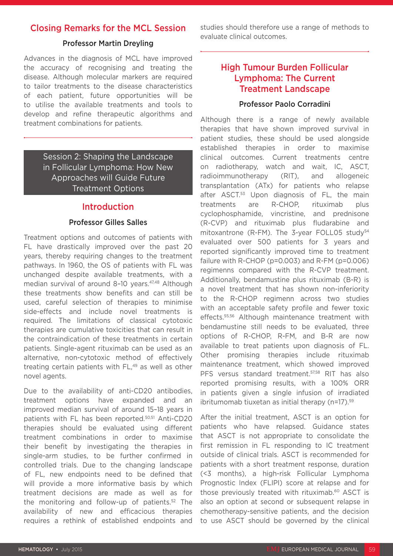# Closing Remarks for the MCL Session

### Professor Martin Dreyling

Advances in the diagnosis of MCL have improved the accuracy of recognising and treating the disease. Although molecular markers are required to tailor treatments to the disease characteristics of each patient, future opportunities will be to utilise the available treatments and tools to develop and refine therapeutic algorithms and treatment combinations for patients.

> Session 2: Shaping the Landscape in Follicular Lymphoma: How New Approaches will Guide Future Treatment Options

### Introduction

### Professor Gilles Salles

Treatment options and outcomes of patients with FL have drastically improved over the past 20 years, thereby requiring changes to the treatment pathways. In 1960, the OS of patients with FL was unchanged despite available treatments, with a median survival of around 8-10 years.<sup>47,48</sup> Although these treatments show benefits and can still be used, careful selection of therapies to minimise side-effects and include novel treatments is required. The limitations of classical cytotoxic therapies are cumulative toxicities that can result in the contraindication of these treatments in certain patients. Single-agent rituximab can be used as an alternative, non-cytotoxic method of effectively treating certain patients with FL,<sup>49</sup> as well as other novel agents.

Due to the availability of anti-CD20 antibodies, treatment options have expanded and an improved median survival of around 15–18 years in patients with FL has been reported.50,51 Anti-CD20 therapies should be evaluated using different treatment combinations in order to maximise their benefit by investigating the therapies in single-arm studies, to be further confirmed in controlled trials. Due to the changing landscape of FL, new endpoints need to be defined that will provide a more informative basis by which treatment decisions are made as well as for the monitoring and follow-up of patients.52 The availability of new and efficacious therapies requires a rethink of established endpoints and

studies should therefore use a range of methods to evaluate clinical outcomes.

# High Tumour Burden Follicular Lymphoma: The Current Treatment Landscape

### Professor Paolo Corradini

Although there is a range of newly available therapies that have shown improved survival in patient studies, these should be used alongside established therapies in order to maximise clinical outcomes. Current treatments centre on radiotherapy, watch and wait, IC, ASCT, radioimmunotherapy (RIT), and allogeneic transplantation (ATx) for patients who relapse after ASCT.<sup>53</sup> Upon diagnosis of FL, the main treatments are R-CHOP, rituximab plus cyclophosphamide, vincristine, and prednisone (R-CVP) and rituximab plus fludarabine and mitoxantrone (R-FM). The 3-year FOLL05 study<sup>54</sup> evaluated over 500 patients for 3 years and reported significantly improved time to treatment failure with R-CHOP (p=0.003) and R-FM (p=0.006) regimenns compared with the R-CVP treatment. Additionally, bendamustine plus rituximab (B-R) is a novel treatment that has shown non-inferiority to the R-CHOP regimenn across two studies with an acceptable safety profile and fewer toxic effects.<sup>55,56</sup> Although maintenance treatment with bendamustine still needs to be evaluated, three options of R-CHOP, R-FM, and B-R are now available to treat patients upon diagnosis of FL. Other promising therapies include rituximab maintenance treatment, which showed improved PFS versus standard treatment.<sup>57,58</sup> RIT has also reported promising results, with a 100% ORR in patients given a single infusion of irradiated ibritumomab tiuxetan as initial therapy (n=17).<sup>59</sup>

After the initial treatment, ASCT is an option for patients who have relapsed. Guidance states that ASCT is not appropriate to consolidate the first remission in FL responding to IC treatment outside of clinical trials. ASCT is recommended for patients with a short treatment response, duration (<3 months), a high-risk Follicular Lymphoma Prognostic Index (FLIPI) score at relapse and for those previously treated with rituximab.60 ASCT is also an option at second or subsequent relapse in chemotherapy-sensitive patients, and the decision to use ASCT should be governed by the clinical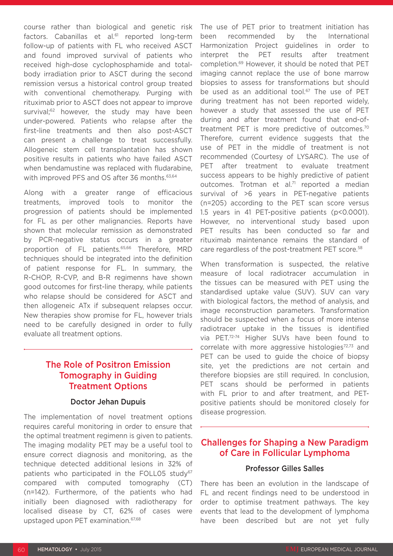course rather than biological and genetic risk factors. Cabanillas et al.<sup>61</sup> reported long-term follow-up of patients with FL who received ASCT and found improved survival of patients who received high-dose cyclophosphamide and totalbody irradiation prior to ASCT during the second remission versus a historical control group treated with conventional chemotherapy. Purging with rituximab prior to ASCT does not appear to improve survival;<sup>62</sup> however, the study may have been under-powered. Patients who relapse after the first-line treatments and then also post-ASCT can present a challenge to treat successfully. Allogeneic stem cell transplantation has shown positive results in patients who have failed ASCT when bendamustine was replaced with fludarabine, with improved PFS and OS after 36 months. 63,64

Along with a greater range of efficacious treatments, improved tools to monitor the progression of patients should be implemented for FL as per other malignancies. Reports have shown that molecular remission as demonstrated by PCR-negative status occurs in a greater proportion of FL patients.65,66 Therefore, MRD techniques should be integrated into the definition of patient response for FL. In summary, the R-CHOP, R-CVP, and B-R regimenns have shown good outcomes for first-line therapy, while patients who relapse should be considered for ASCT and then allogeneic ATx if subsequent relapses occur. New therapies show promise for FL, however trials need to be carefully designed in order to fully evaluate all treatment options.

# The Role of Positron Emission Tomography in Guiding Treatment Options

#### Doctor Jehan Dupuis

The implementation of novel treatment options requires careful monitoring in order to ensure that the optimal treatment regimenn is given to patients. The imaging modality PET may be a useful tool to ensure correct diagnosis and monitoring, as the technique detected additional lesions in 32% of patients who participated in the FOLL05 study<sup>67</sup> compared with computed tomography (CT) (n=142). Furthermore, of the patients who had initially been diagnosed with radiotherapy for localised disease by CT, 62% of cases were upstaged upon PET examination.67,68

The use of PET prior to treatment initiation has been recommended by the International Harmonization Project guidelines in order to interpret the PET results after treatment completion.69 However, it should be noted that PET imaging cannot replace the use of bone marrow biopsies to assess for transformations but should be used as an additional tool.<sup>67</sup> The use of PET during treatment has not been reported widely, however a study that assessed the use of PET during and after treatment found that end-oftreatment PET is more predictive of outcomes.<sup>70</sup> Therefore, current evidence suggests that the use of PET in the middle of treatment is not recommended (Courtesy of LYSARC). The use of PET after treatment to evaluate treatment success appears to be highly predictive of patient outcomes. Trotman et al.<sup>71</sup> reported a median survival of >6 years in PET-negative patients (n=205) according to the PET scan score versus 1.5 years in 41 PET-positive patients (p<0.0001). However, no interventional study based upon PET results has been conducted so far and rituximab maintenance remains the standard of care regardless of the post-treatment PET score.<sup>58</sup>

When transformation is suspected, the relative measure of local radiotracer accumulation in the tissues can be measured with PET using the standardised uptake value (SUV). SUV can vary with biological factors, the method of analysis, and image reconstruction parameters. Transformation should be suspected when a focus of more intense radiotracer uptake in the tissues is identified via PET.72-74 Higher SUVs have been found to correlate with more aggressive histologies<sup>72,73</sup> and PET can be used to guide the choice of biopsy site, yet the predictions are not certain and therefore biopsies are still required. In conclusion, PET scans should be performed in patients with FL prior to and after treatment, and PETpositive patients should be monitored closely for disease progression.

# Challenges for Shaping a New Paradigm of Care in Follicular Lymphoma

#### Professor Gilles Salles

There has been an evolution in the landscape of FL and recent findings need to be understood in order to optimise treatment pathways. The key events that lead to the development of lymphoma have been described but are not yet fully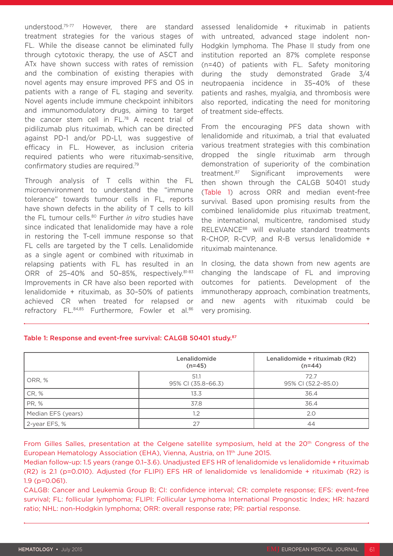understood.75-77 However, there are standard treatment strategies for the various stages of FL. While the disease cannot be eliminated fully through cytotoxic therapy, the use of ASCT and ATx have shown success with rates of remission and the combination of existing therapies with novel agents may ensure improved PFS and OS in patients with a range of FL staging and severity. Novel agents include immune checkpoint inhibitors and immunomodulatory drugs, aiming to target the cancer stem cell in FL.78 A recent trial of pidilizumab plus rituximab, which can be directed against PD-1 and/or PD-L1, was suggestive of efficacy in FL. However, as inclusion criteria required patients who were rituximab-sensitive, confirmatory studies are required.79

Through analysis of T cells within the FL microenvironment to understand the "immune tolerance" towards tumour cells in FL, reports have shown defects in the ability of T cells to kill the FL tumour cells.80 Further *in vitro* studies have since indicated that lenalidomide may have a role in restoring the T-cell immune response so that FL cells are targeted by the T cells. Lenalidomide as a single agent or combined with rituximab in relapsing patients with FL has resulted in an ORR of 25-40% and 50-85%, respectively.<sup>81-83</sup> Improvements in CR have also been reported with lenalidomide + rituximab, as 30–50% of patients achieved CR when treated for relapsed or refractory FL.<sup>84,85</sup> Furthermore, Fowler et al.86

assessed lenalidomide + rituximab in patients with untreated, advanced stage indolent non-Hodgkin lymphoma. The Phase II study from one institution reported an 87% complete response (n=40) of patients with FL. Safety monitoring during the study demonstrated Grade 3/4 neutropaenia incidence in 35–40% of these patients and rashes, myalgia, and thrombosis were also reported, indicating the need for monitoring of treatment side-effects.

From the encouraging PFS data shown with lenalidomide and rituximab, a trial that evaluated various treatment strategies with this combination dropped the single rituximab arm through demonstration of superiority of the combination treatment.87 Significant improvements were then shown through the CALGB 50401 study (Table 1) across ORR and median event-free survival. Based upon promising results from the combined lenalidomide plus rituximab treatment, the international, multicentre, randomised study RELEVANCE88 will evaluate standard treatments R-CHOP, R-CVP, and R-B versus lenalidomide + rituximab maintenance.

In closing, the data shown from new agents are changing the landscape of FL and improving outcomes for patients. Development of the immunotherapy approach, combination treatments, and new agents with rituximab could be very promising.

|                    | Lenalidomide<br>$(n=45)$   | Lenalidomide + rituximab (R2)<br>$(n=44)$ |
|--------------------|----------------------------|-------------------------------------------|
| ORR, %             | 51.1<br>95% CI (35.8-66.3) | 72.7<br>95% CI (52.2-85.0)                |
| CR, %              | 13.3                       | 36.4                                      |
| <b>PR, %</b>       | 37.8                       | 36.4                                      |
| Median EFS (years) | 1,2                        | 2.0                                       |
| 2-year EFS, %      | 27                         | 44                                        |

#### Table 1: Response and event-free survival: CALGB 50401 study.87

From Gilles Salles, presentation at the Celgene satellite symposium, held at the 20<sup>th</sup> Congress of the European Hematology Association (EHA), Vienna, Austria, on 11<sup>th</sup> June 2015.

Median follow-up: 1.5 years (range 0.1–3.6). Unadjusted EFS HR of lenalidomide vs lenalidomide + rituximab (R2) is 2.1 (p=0.010). Adjusted (for FLIPI) EFS HR of lenalidomide vs lenalidomide + rituximab (R2) is 1.9 (p=0.061).

CALGB: Cancer and Leukemia Group B; CI: confidence interval; CR: complete response; EFS: event-free survival; FL: follicular lymphoma; FLIPI: Follicular Lymphoma International Prognostic Index; HR: hazard ratio; NHL: non-Hodgkin lymphoma; ORR: overall response rate; PR: partial response.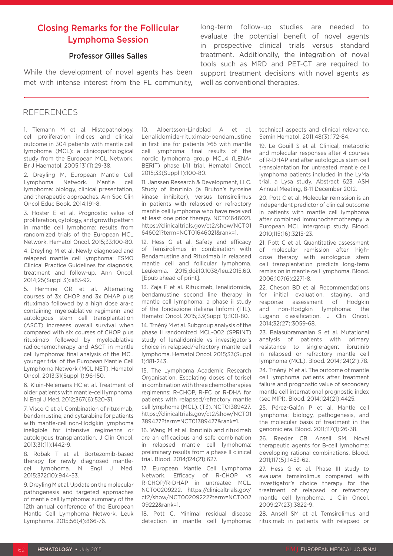# Closing Remarks for the Follicular Lymphoma Session

### Professor Gilles Salles

While the development of novel agents has been met with intense interest from the FL community, long-term follow-up studies are needed to evaluate the potential benefit of novel agents in prospective clinical trials versus standard treatment. Additionally, the integration of novel tools such as MRD and PET-CT are required to support treatment decisions with novel agents as well as conventional therapies.

#### REFERENCES

1. Tiemann M et al. Histopathology, cell proliferation indices and clinical outcome in 304 patients with mantle cell lymphoma (MCL): a clinicopathological study from the European MCL Network. Br J Haematol. 2005;131(1):29-38.

2. Dreyling M, European Mantle Cell Lymphoma Network. Mantle cell lymphoma: biology, clinical presentation, and therapeutic approaches. Am Soc Clin Oncol Educ Book. 2014:191-8.

3. Hoster E et al. Prognostic value of proliferation, cytology, and growth pattern in mantle cell lymphoma: results from randomized trials of the European MCL Network. Hematol Oncol. 2015;33:100-80.

4. Dreyling M et al. Newly diagnosed and relapsed mantle cell lymphoma: ESMO Clinical Practice Guidelines for diagnosis, treatment and follow-up. Ann Oncol. 2014;25(Suppl 3):iii83-92.

5. Hermine OR et al. Alternating courses of 3x CHOP and 3x DHAP plus rituximab followed by a high dose ara-c containing myeloablative regimenn and autologous stem cell transplantation (ASCT) increases overall survival when compared with six courses of CHOP plus rituximab followed by myeloablative radiochemotherapy and ASCT in mantle cell lymphoma: final analysis of the MCL younger trial of the European Mantle Cell Lymphoma Network (MCL NET). Hematol Oncol. 2013;31(Suppl 1):96-150.

6. Kluin-Nelemans HC et al. Treatment of older patients with mantle-cell lymphoma. N Engl J Med. 2012;367(6):520-31.

7. Visco C et al. Combination of rituximab, bendamustine, and cytarabine for patients with mantle-cell non-Hodgkin lymphoma ineligible for intensive regimenns or autologous transplantation. J Clin Oncol. 2013;31(11):1442-9.

8. Robak T et al. Bortezomib-based therapy for newly diagnosed mantlecell lymphoma. N Engl J Med. 2015;372(10):944-53.

9. Dreyling M et al. Update on the molecular pathogenesis and targeted approaches of mantle cell lymphoma: summary of the 12th annual conference of the European Mantle Cell Lymphoma Network. Leuk Lymphoma. 2015;56(4):866-76.

10. Albertsson-Lindblad A et al. Lenalidomide-rituximab-bendamustine in first line for patients >65 with mantle cell lymphoma: final results of the nordic lymphoma group MCL4 (LENA-BERIT) phase I/II trial. Hematol Oncol. 2015;33(Suppl 1):100-80.

11. Janssen Research & Development, LLC. Study of Ibrutinib (a Bruton's tyrosine kinase inhibitor), versus temsirolimus in patients with relapsed or refractory mantle cell lymphoma who have received at least one prior therapy. NCT01646021. https://clinicaltrials.gov/ct2/show/NCT01 646021?term=NCT01646021&rank=1.

12. Hess G et al. Safety and efficacy of Temsirolimus in combination with Bendamustine and Rituximab in relapsed mantle cell and follicular lymphoma. Leukemia. 2015;doi:10.1038/leu.2015.60. [Epub ahead of print].

13. Zaja F et al. Rituximab, lenalidomide, bendamustine second line therapy in mantle cell lymphoma: a phase ii study of the fondazione italiana linfomi (FIL). Hematol Oncol. 2015;33(Suppl 1):100-80.

14. Trněný M et al. Subgroup analysis of the phase II randomized MCL-002 (SPRINT) study of lenalidomide vs investigator's choice in relapsed/refractory mantle cell lymphoma. Hematol Oncol. 2015;33(Suppl 1):181-243.

15. The Lymphoma Academic Research Organisation. Escalating doses of torisel in combination with three chemotherapies regimenns: R-CHOP, R-FC or R-DHA for patients with relapsed/refractory mantle cell lymphoma (MCL). (T3). NCT01389427. https://clinicaltrials.gov/ct2/show/NCT01 389427?term=NCT01389427&rank=1.

16. Wang M et al. Ibrutinib and rituximab are an efficacious and safe combination in relapsed mantle cell lymphoma: preliminary results from a phase II clinical trial. Blood. 2014;124(21):627.

17. European Mantle Cell Lymphoma Network. Efficacy of R-CHOP vs R-CHOP/R-DHAP in untreated MCL. NCT00209222. https://clinicaltrials.gov/ ct2/show/NCT00209222?term=NCT002 09222&rank=1.

18. Pott C. Minimal residual disease detection in mantle cell lymphoma: technical aspects and clinical relevance. Semin Hematol. 2011;48(3):172-84.

19. Le Gouill S et al. Clinical, metabolic and molecular responses after 4 courses of R-DHAP and after autologous stem cell transplantation for untreated mantle cell lymphoma patients included in the LyMa trial, a Lysa study. Abstract 623. ASH Annual Meeting, 8-11 December 2012.

20. Pott C et al. Molecular remission is an independent predictor of clinical outcome in patients with mantle cell lymphoma after combined immunochemotherapy: a European MCL intergroup study. Blood. 2010;115(16):3215-23.

21. Pott C et al. Quantitative assessment of molecular remission after highdose therapy with autologous stem cell transplantation predicts long-term remission in mantle cell lymphoma. Blood. 2006;107(6):2271-8.

22. Cheson BD et al. Recommendations for initial evaluation, staging, and response assessment of Hodgkin and non-Hodgkin lymphoma: the Lugano classification. J Clin Oncol. 2014;32(27):3059-68.

23. Balasubramanian S et al. Mutational analysis of patients with primary resistance to single-agent ibrutinib in relapsed or refractory mantle cell lymphoma (MCL). Blood. 2014;124(21):78.

24. Trněný M et al. The outcome of mantle cell lymphoma patients after treatment failure and prognostic value of secondary mantle cell international prognostic index (sec MIPI). Blood. 2014;124(21):4425.

25. Pérez-Galán P et al. Mantle cell lymphoma: biology, pathogenesis, and the molecular basis of treatment in the genomic era. Blood. 2011;117(1):26-38.

26. Reeder CB, Ansell SM. Novel therapeutic agents for B-cell lymphoma: developing rational combinations. Blood. 2011;117(5):1453-62.

27. Hess G et al. Phase III study to evaluate temsirolimus compared with investigator's choice therapy for the treatment of relapsed or refractory mantle cell lymphoma. J Clin Oncol. 2009;27(23):3822-9.

28. Ansell SM et al. Temsirolimus and rituximab in patients with relapsed or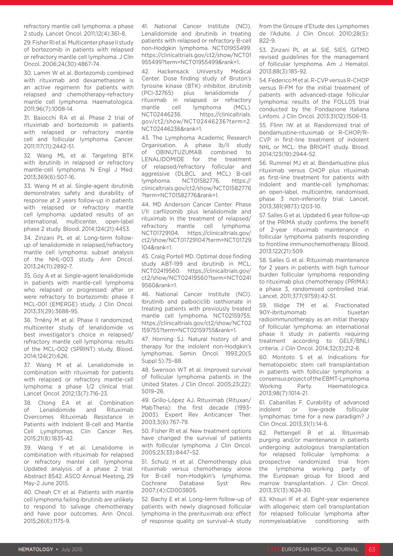refractory mantle cell lymphoma: a phase 2 study. Lancet Oncol. 2011;12(4):361-8.

29. Fisher RI et al. Multicenter phase II study of bortezomib in patients with relapsed or refractory mantle cell lymphoma. J Clin Oncol. 2006;24(30):4867-74.

30. Lamm W et al. Bortezomib combined with rituximab and dexamethasone is an active regimenn for patients with relapsed and chemotherapy-refractory mantle cell lymphoma. Haematologica. 2011;96(7):1008-14.

31. Baiocchi RA et al. Phase 2 trial of rituximab and bortezomib in patients with relapsed or refractory mantle cell and follicular lymphoma. Cancer. 2011;117(11):2442-51.

32. Wang ML et al. Targeting BTK with ibrutinib in relapsed or refractory mantle-cell lymphoma. N Engl J Med. 2013;369(6):507-16.

33. Wang M et al. Single-agent ibrutinib demonstrates safety and durability of response at 2 years follow-up in patients with relapsed or refractory mantle cell lymphoma: updated results of an international, multicenter, open-label phase 2 study. Blood. 2014;124(21):4453.

34. Zinzani PL et al. Long-term followup of lenalidomide in relapsed/refractory mantle cell lymphoma: subset analysis of the NHL-003 study. Ann Oncol. 2013;24(11):2892-7.

35. Goy A et al. Single-agent lenalidomide in patients with mantle-cell lymphoma who relapsed or progressed after or were refractory to bortezomib: phase II MCL-001 (EMERGE) study. J Clin Oncol. 2013;31(29):3688-95.

36. Trněný M et al. Phase II randomized, multicenter study of lenalidomide vs best investigator's choice in relapsed/ refractory mantle cell lymphoma: results of the MCL-002 (SPRINT) study. Blood. 2014;124(21):626.

37. Wang M et al. Lenalidomide in combination with rituximab for patients with relapsed or refractory mantle-cell lymphoma: a phase 1/2 clinical trial. Lancet Oncol. 2012;13(7):716-23.

38. Chong EA et al. Combination of Lenalidomide and Rituximab Overcomes Rituximab Resistance in Patients with Indolent B-cell and Mantle Cell Lymphomas. Clin Cancer Res. 2015;21(8):1835-42.

39. Wang Y et al. Lenalidome in combination with rituximab for relapsed or refractory mantel cell lymphoma: Updated analysis of a phase 2 trial. Abstract 8542. ASCO Annual Meeting, 29 May-2 June 2015.

40. Cheah CY et al. Patients with mantle cell lymphoma failing ibrutinib are unlikely to respond to salvage chemotherapy and have poor outcomes. Ann Oncol. 2015;26(6):1175-9.

41. National Cancer Institute (NCI). Lenalidomide and ibrutinib in treating patients with relapsed or refractory B-cell non-Hodgkin lymphoma. NCT01955499. https://clinicaltrials.gov/ct2/show/NCT01 955499?term=NCT01955499&rank=1.

42. Hackensack University Medical Center. Dose finding study of Bruton's tyrosine kinase (BTK) inhibitor, ibrutinib (PCI-32765) plus lenalidomide rituximab in relapsed or refractory mantle cell lymphoma (MCL). NCT02446236. https://clinicaltrials. gov/ct2/show/NCT02446236?term=2. NCT02446236&rank=1.

43. The Lymphoma Academic Research Organisation. A phase Ib/II study of OBINUTUZUMAB combined to LENALIDOMIDE for the treatment of relapsed/refractory follicular and aggressive (DLBCL and MCL) B-cell lymphoma. NCT01582776. https:// clinicaltrials.gov/ct2/show/NCT01582776 ?term=NCT01582776&rank=1.

44. MD Anderson Cancer Center. Phase I/II carfilzomib plus lenalidomide and rituximab in the treatment of relapsed/ refractory mantle cell lymphoma. NCT01729104. https://clinicaltrials.gov/ ct2/show/NCT01729104?term=NCT01729 104&rank=1.

45. Craig Portell MD. Optimal dose finding study ABT-199 and ibrutinib in MCL. NCT02419560. https://clinicaltrials.gov/ ct2/show/NCT02419560?term=NCT0241 9560&rank=1.

46. National Cancer Institute (NCI). Ibrutinib and palbociclib isethionate in treating patients with previously treated mantle cell lymphoma. NCT02159755. https://clinicaltrials.gov/ct2/show/NCT02 159755?term=NCT02159755&rank=1.

47. Horning SJ. Natural history of and therapy for the indolent non-Hodgkin's lymphomas. Semin Oncol. 1993;20(5 Suppl 5):75–88.

48. Swenson WT et al. Improved survival of follicular lymphoma patients in the United States. J Clin Oncol. 2005;23(22): 5019–26.

49. Grillo-López AJ. Rituximab (Rituxan/ MabThera): the first decade (1993- 2003). Expert Rev Anticancer Ther. 2003;3(6):767-79.

50. Fisher RI et al. New treatment options have changed the survival of patients with follicular lymphoma. J Clin Oncol. 2005;23(33):8447–52.

51. Schulz H et al. Chemotherapy plus rituximab versus chemotherapy alone for B-cell non-Hodgkin's lymphoma. Cochrane Database Syst Rev. 2007;(4):CD003805.

52. Bachy E et al. Long-term follow-up of patients with newly diagnosed follicular lymphoma in the prerituximab era: effect of response quality on survival–A study from the Groupe d'Etude des Lymphomes de l'Adulte. J Clin Oncol. 2010;28(5): 822-9.

53. Zinzani PL et al. SIE, SIES, GITMO revised guidelines for the management of follicular lymphoma. Am J Hematol. 2013;88(3):185-92.

54. Federico M et al. R-CVP versus R-CHOP versus R-FM for the initial treatment of patients with advanced-stage follicular lymphoma: results of the FOLL05 trial conducted by the Fondazione Italiana Linfomi. J Clin Oncol. 2013;31(12):1506-13.

55. Flinn IW et al. Randomized trial of bendamustine-rituximab or R-CHOP/R-CVP in first-line treatment of indolent NHL or MCL: the BRIGHT study. Blood. 2014;123(19):2944-52.

56. Rummel MJ et al. Bendamustine plus rituximab versus CHOP plus rituximab as first-line treatment for patients with indolent and mantle-cell lymphomas: an open-label, multicentre, randomised, phase 3 non-inferiority trial. Lancet. 2013;381(9873):1203-10.

57. Salles G et al. Updated 6 year follow-up of the PRIMA study confirms the benefit of 2-year rituximab maintenance in follicular lymphoma patients responding to frontline immunochemotherapy. Blood. 2013;122(21):509.

58. Salles G et al. Rituximab maintenance for 2 years in patients with high tumour burden follicular lymphoma responding to rituximab plus chemotherapy (PRIMA): a phase 3, randomised controlled trial. Lancet. 2011;377(9759):42-51.

59. Illidge TM et al. Fractionated 90Y-ibritumomab tiuxetan radioimmunotherapy as an initial therapy of follicular lymphoma: an international phase II study in patients requiring treatment according to GELF/BNLI criteria. J Clin Oncol. 2014;32(3):212-8.

60. Montoto S et al. Indications for hematopoietic stem cell transplantation in patients with follicular lymphoma: a consensus project of the EBMT-Lymphoma Working Party. Haematologica. 2013;98(7):1014-21.

61. Cabanillas F. Curability of advanced indolent or low-grade follicular lymphomas: time for a new paradigm? J Clin Oncol. 2013;31(1):14-6.

62. Pettengell R et al. Rituximab purging and/or maintenance in patients undergoing autologous transplantation for relapsed follicular lymphoma: a prospective randomized trial from the lymphoma working party of the European group for blood and marrow transplantation. J Clin Oncol. 2013;31(13):1624-30.

63. Khouri IF et al. Eight-year experience with allogeneic stem cell transplantation for relapsed follicular lymphoma after nonmyeloablative conditioning with